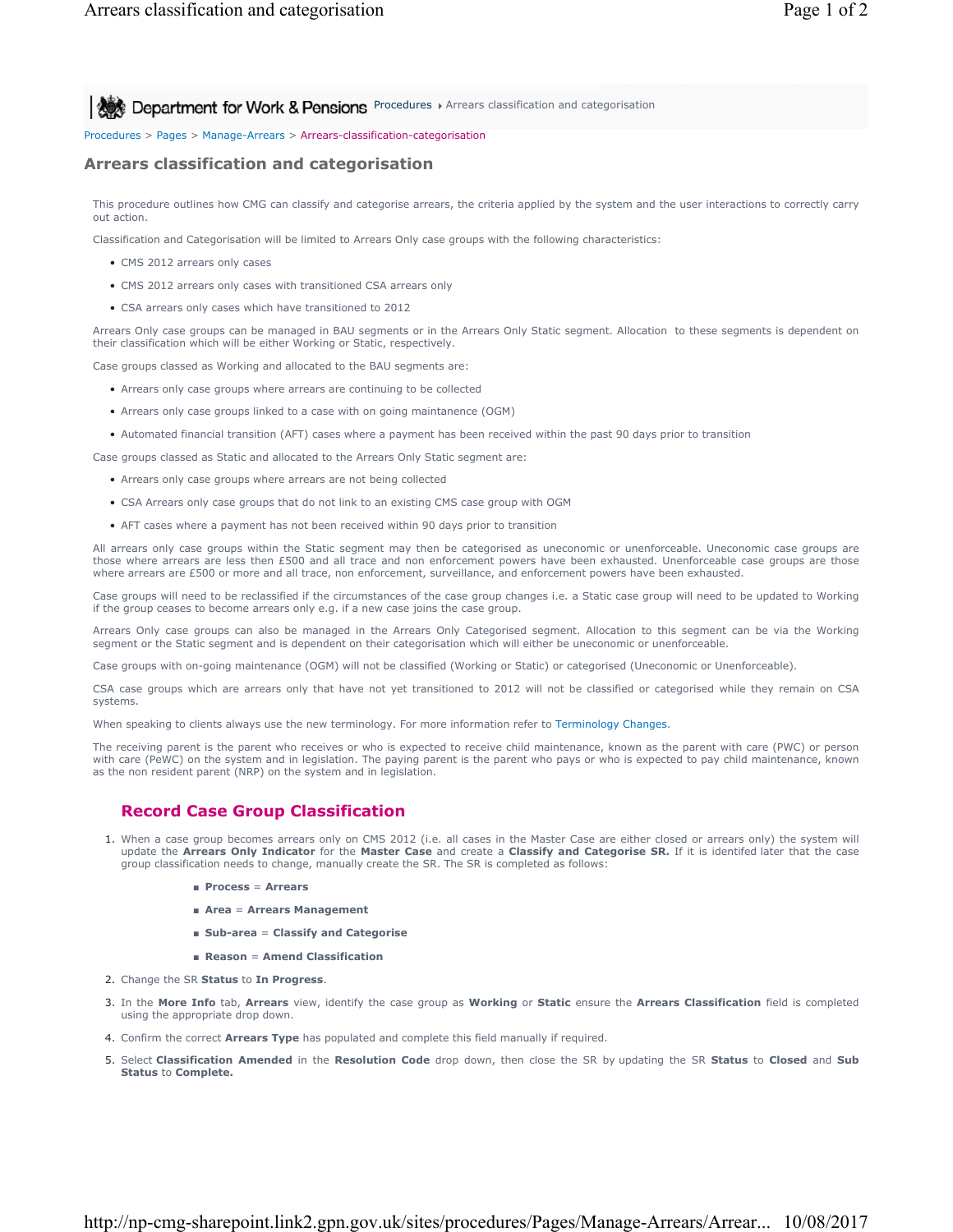**Allect** Department for Work & Pensions Procedures > Arrears classification and categorisation

#### Procedures > Pages > Manage-Arrears > Arrears-classification-categorisation

#### **Arrears classification and categorisation**

This procedure outlines how CMG can classify and categorise arrears, the criteria applied by the system and the user interactions to correctly carry out action.

Classification and Categorisation will be limited to Arrears Only case groups with the following characteristics:

- CMS 2012 arrears only cases
- CMS 2012 arrears only cases with transitioned CSA arrears only
- CSA arrears only cases which have transitioned to 2012

Arrears Only case groups can be managed in BAU segments or in the Arrears Only Static segment. Allocation to these segments is dependent on their classification which will be either Working or Static, respectively.

Case groups classed as Working and allocated to the BAU segments are:

- Arrears only case groups where arrears are continuing to be collected
- Arrears only case groups linked to a case with on going maintanence (OGM)
- Automated financial transition (AFT) cases where a payment has been received within the past 90 days prior to transition
- Case groups classed as Static and allocated to the Arrears Only Static segment are:
	- Arrears only case groups where arrears are not being collected
	- CSA Arrears only case groups that do not link to an existing CMS case group with OGM
	- AFT cases where a payment has not been received within 90 days prior to transition

All arrears only case groups within the Static segment may then be categorised as uneconomic or unenforceable. Uneconomic case groups are those where arrears are less then £500 and all trace and non enforcement powers have been exhausted. Unenforceable case groups are those where arrears are £500 or more and all trace, non enforcement, surveillance, and enforcement powers have been exhausted.

Case groups will need to be reclassified if the circumstances of the case group changes i.e. a Static case group will need to be updated to Working if the group ceases to become arrears only e.g. if a new case joins the case group.

Arrears Only case groups can also be managed in the Arrears Only Categorised segment. Allocation to this segment can be via the Working segment or the Static segment and is dependent on their categorisation which will either be uneconomic or unenforceable.

Case groups with on-going maintenance (OGM) will not be classified (Working or Static) or categorised (Uneconomic or Unenforceable).

CSA case groups which are arrears only that have not yet transitioned to 2012 will not be classified or categorised while they remain on CSA systems.

When speaking to clients always use the new terminology. For more information refer to Terminology Changes.

The receiving parent is the parent who receives or who is expected to receive child maintenance, known as the parent with care (PWC) or person with care (PeWC) on the system and in legislation. The paying parent is the parent who pays or who is expected to pay child maintenance, known as the non resident parent (NRP) on the system and in legislation.

## **Record Case Group Classification**

- 1. When a case group becomes arrears only on CMS 2012 (i.e. all cases in the Master Case are either closed or arrears only) the system will update the **Arrears Only Indicator** for the **Master Case** and create a **Classify and Categorise SR.** If it is identifed later that the case group classification needs to change, manually create the SR. The SR is completed as follows:
	- **Process** = **Arrears**
	- **Area** = **Arrears Management**
	- **Sub-area** = **Classify and Categorise**
	- **Reason** = **Amend Classification**
- 2. Change the SR **Status** to **In Progress**.
- In the **More Info** tab, **Arrears** view, identify the case group as **Working** or **Static** ensure the **Arrears Classification** field is completed 3. using the appropriate drop down.
- 4. Confirm the correct **Arrears Type** has populated and complete this field manually if required.
- 5. Select Classification Amended in the Resolution Code drop down, then close the SR by updating the SR Status to Closed and Sub **Status** to **Complete.**